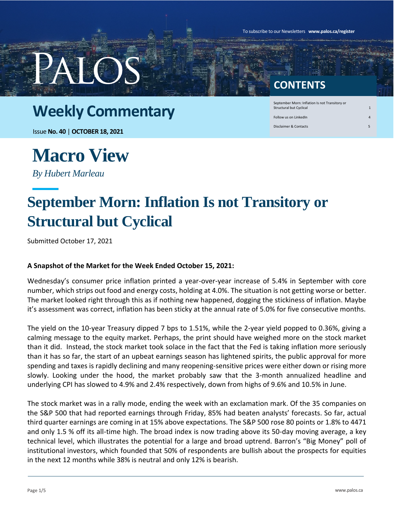To subscribe to our Newsletters **www.palos.ca/register**

#### **CONTENTS**

Structural but Cyclical Follow us on LinkedIn

September Morn: Inflation Is not Transitory or

Disclaimer & Contacts 5

#### **Weekly Commentary**

Issue **No. 40** | **OCTOBER 18, 2021**

### **Macro View**

*By Hubert Marleau*

### **September Morn: Inflation Is not Transitory or Structural but Cyclical**

Submitted October 17, 2021

#### **A Snapshot of the Market for the Week Ended October 15, 2021:**

Wednesday's consumer price inflation printed a year-over-year increase of 5.4% in September with core number, which strips out food and energy costs, holding at 4.0%. The situation is not getting worse or better. The market looked right through this as if nothing new happened, dogging the stickiness of inflation. Maybe it's assessment was correct, inflation has been sticky at the annual rate of 5.0% for five consecutive months.

The yield on the 10-year Treasury dipped 7 bps to 1.51%, while the 2-year yield popped to 0.36%, giving a calming message to the equity market. Perhaps, the print should have weighed more on the stock market than it did. Instead, the stock market took solace in the fact that the Fed is taking inflation more seriously than it has so far, the start of an upbeat earnings season has lightened spirits, the public approval for more spending and taxes is rapidly declining and many reopening-sensitive prices were either down or rising more slowly. Looking under the hood, the market probably saw that the 3-month annualized headline and underlying CPI has slowed to 4.9% and 2.4% respectively, down from highs of 9.6% and 10.5% in June.

The stock market was in a rally mode, ending the week with an exclamation mark. Of the 35 companies on the S&P 500 that had reported earnings through Friday, 85% had beaten analysts' forecasts. So far, actual third quarter earnings are coming in at 15% above expectations. The S&P 500 rose 80 points or 1.8% to 4471 and only 1.5 % off its all-time high. The broad index is now trading above its 50-day moving average, a key technical level, which illustrates the potential for a large and broad uptrend. Barron's "Big Money" poll of institutional investors, which founded that 50% of respondents are bullish about the prospects for equities in the next 12 months while 38% is neutral and only 12% is bearish.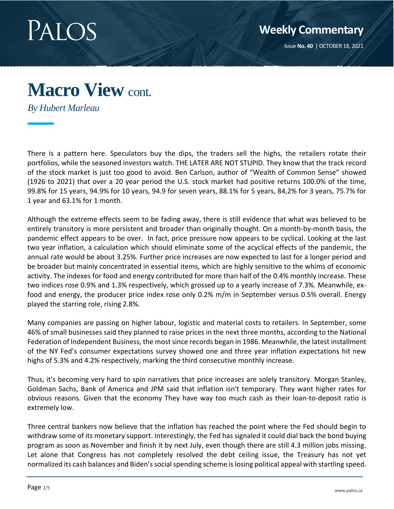

### **Macro View** cont.

*By Hubert Marleau*

There is a pattern here. Speculators buy the dips, the traders sell the highs, the retailers rotate their portfolios, while the seasoned investors watch. THE LATER ARE NOT STUPID. They know that the track record of the stock market is just too good to avoid. Ben Carlson, author of "Wealth of Common Sense" showed (1926 to 2021) that over a 20 year period the U.S. stock market had positive returns 100.0% of the time, 99.8% for 15 years, 94.9% for 10 years, 94.9 for seven years, 88.1% for 5 years, 84,2% for 3 years, 75.7% for 1 year and 63.1% for 1 month.

Although the extreme effects seem to be fading away, there is still evidence that what was believed to be entirely transitory is more persistent and broader than originally thought. On a month-by-month basis, the pandemic effect appears to be over. In fact, price pressure now appears to be cyclical. Looking at the last two year inflation, a calculation which should eliminate some of the acyclical effects of the pandemic, the annual rate would be about 3.25%. Further price increases are now expected to last for a longer period and be broader but mainly concentrated in essential items, which are highly sensitive to the whims of economic activity. The indexes for food and energy contributed for more than half of the 0.4% monthly increase. These two indices rose 0.9% and 1.3% respectively, which grossed up to a yearly increase of 7.3%. Meanwhile, exfood and energy, the producer price index rose only 0.2% m/m in September versus 0.5% overall. Energy played the starring role, rising 2.8%.

Many companies are passing on higher labour, logistic and material costs to retailers. In September, some 46% of small businesses said they planned to raise prices in the next three months, according to the National Federation of Independent Business, the most since records began in 1986. Meanwhile, the latest installment of the NY Fed's consumer expectations survey showed one and three year inflation expectations hit new highs of 5.3% and 4.2% respectively, marking the third consecutive monthly increase.

Thus, it's becoming very hard to spin narratives that price increases are solely transitory. Morgan Stanley, Goldman Sachs, Bank of America and JPM said that inflation isn't temporary. They want higher rates for obvious reasons. Given that the economy They have way too much cash as their loan-to-deposit ratio is extremely low.

Three central bankers now believe that the inflation has reached the point where the Fed should begin to withdraw some of its monetary support. Interestingly, the Fed has signaled it could dial back the bond buying program as soon as November and finish it by next July, even though there are still 4.3 million jobs missing. Let alone that Congress has not completely resolved the debt ceiling issue, the Treasury has not yet normalized its cash balances and Biden's social spending scheme is losing political appeal with startling speed.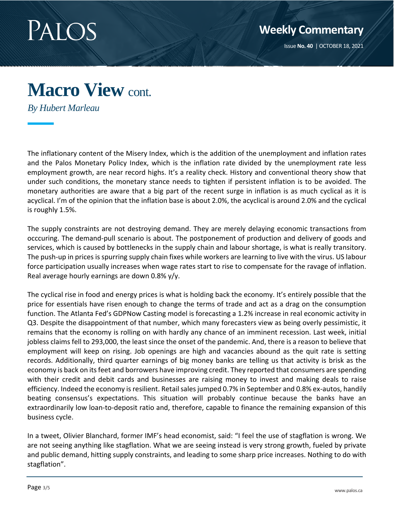

### **Macro View** cont.

*By Hubert Marleau*

The inflationary content of the Misery Index, which is the addition of the unemployment and inflation rates and the Palos Monetary Policy Index, which is the inflation rate divided by the unemployment rate less employment growth, are near record highs. It's a reality check. History and conventional theory show that under such conditions, the monetary stance needs to tighten if persistent inflation is to be avoided. The monetary authorities are aware that a big part of the recent surge in inflation is as much cyclical as it is acyclical. I'm of the opinion that the inflation base is about 2.0%, the acyclical is around 2.0% and the cyclical is roughly 1.5%.

The supply constraints are not destroying demand. They are merely delaying economic transactions from occcuring. The demand-pull scenario is about. The postponement of production and delivery of goods and services, which is caused by bottlenecks in the supply chain and labour shortage, is what is really transitory. The push-up in prices is spurring supply chain fixes while workers are learning to live with the virus. US labour force participation usually increases when wage rates start to rise to compensate for the ravage of inflation. Real average hourly earnings are down 0.8% y/y.

The cyclical rise in food and energy prices is what is holding back the economy. It's entirely possible that the price for essentials have risen enough to change the terms of trade and act as a drag on the consumption function. The Atlanta Fed's GDPNow Casting model is forecasting a 1.2% increase in real economic activity in Q3. Despite the disappointment of that number, which many forecasters view as being overly pessimistic, it remains that the economy is rolling on with hardly any chance of an imminent recession. Last week, initial jobless claims fell to 293,000, the least since the onset of the pandemic. And, there is a reason to believe that employment will keep on rising. Job openings are high and vacancies abound as the quit rate is setting records. Additionally, third quarter earnings of big money banks are telling us that activity is brisk as the economy is back on its feet and borrowers have improving credit. They reported that consumers are spending with their credit and debit cards and businesses are raising money to invest and making deals to raise efficiency. Indeed the economy is resilient. Retail sales jumped 0.7% in September and 0.8% ex-autos, handily beating consensus's expectations. This situation will probably continue because the banks have an extraordinarily low loan-to-deposit ratio and, therefore, capable to finance the remaining expansion of this business cycle.

In a tweet, Olivier Blanchard, former IMF's head economist, said: "I feel the use of stagflation is wrong. We are not seeing anything like stagflation. What we are seeing instead is very strong growth, fueled by private and public demand, hitting supply constraints, and leading to some sharp price increases. Nothing to do with stagflation".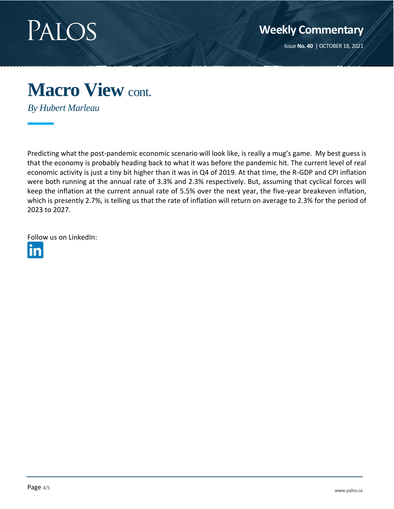

Issue **No. 40** | OCTOBER 18, 2021

## **Macro View** cont.

*By Hubert Marleau*

Predicting what the post-pandemic economic scenario will look like, is really a mug's game. My best guess is that the economy is probably heading back to what it was before the pandemic hit. The current level of real economic activity is just a tiny bit higher than it was in Q4 of 2019. At that time, the R-GDP and CPI inflation were both running at the annual rate of 3.3% and 2.3% respectively. But, assuming that cyclical forces will keep the inflation at the current annual rate of 5.5% over the next year, the five-year breakeven inflation, which is presently 2.7%, is telling us that the rate of inflation will return on average to 2.3% for the period of 2023 to 2027.

[Follow](https://www.linkedin.com/company/palos-management-inc./) us on LinkedIn: